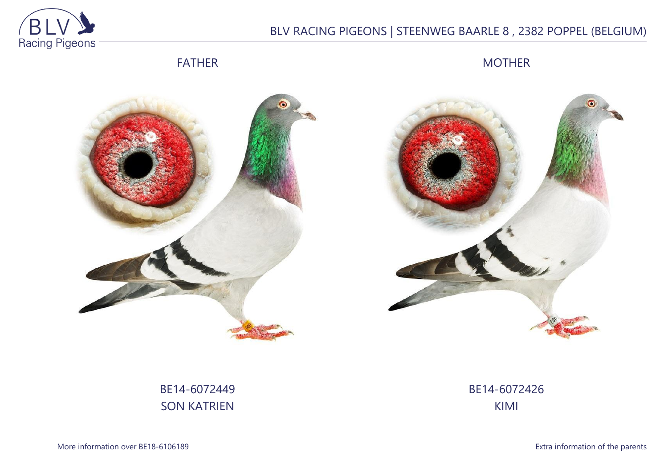

## BLV RACING PIGEONS | STEENWEG BAARLE 8 , 2382 POPPEL (BELGIUM)

FATHER

MOTHER





# BE14-6072449 SON KATRIEN

BE14-6072426 KIMI

More information over BE18-6106189 **Extra information of the parents**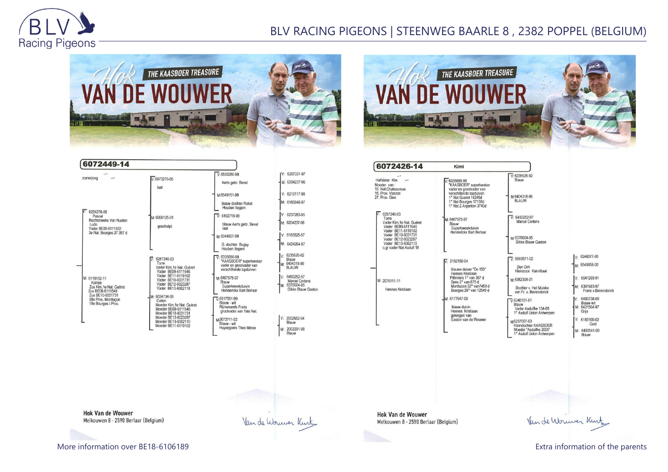

## BLV RACING PIGEONS | STEENWEG BAARLE 8 , 2382 POPPEL (BELGIUM)

Kimi

M-6407575-97

Blauw

 $\overline{V}$ : 2182150-04

M: 6177647-08







| zomerjong                                                                                                                                 | $V: 6073276-05$<br>laat                                                                                                                                                                                                                                                                                                                         | $V: 6555280-98$<br>Aerts gebr. Bevel                                                                                                                                                                                                                                                                                                             |
|-------------------------------------------------------------------------------------------------------------------------------------------|-------------------------------------------------------------------------------------------------------------------------------------------------------------------------------------------------------------------------------------------------------------------------------------------------------------------------------------------------|--------------------------------------------------------------------------------------------------------------------------------------------------------------------------------------------------------------------------------------------------------------------------------------------------------------------------------------------------|
| 6224270-08<br>Pascal<br>Rechtstreeks Van Nueten<br>Ludo<br>Vader BE09-6111553<br>3e Nat. Bourges 37.357 d                                 | M: 6068125-01<br>geschelpt                                                                                                                                                                                                                                                                                                                      | M:6549151-99<br>blauw dochter Raket<br>Houben Itegem<br>$V: 6192718-98$<br>blauw Aerts gebr. Bevel<br>laat<br>M:6044907-99<br>G. dochter Bugsy                                                                                                                                                                                                   |
| M: 6119102-11<br>Katrien<br>Zus Kim.1e Nat. Guéret<br>Zus BE09-6111546<br>Zus BE10-6031731<br>38e Prov. Montlucon<br>18e Bourges I. Prov. | 6257240-03<br>v.<br>Torre<br>Vader Kim, 1e Nat. Guéret<br>Vader BE09-6111546<br>Vader BE11-6119102<br>Vader BE10-6031731<br>Vader BE12-6023287<br>Vader BE13-6062110<br>M: 6034734-06<br>Celien<br>Moeder Kim.1e Nat. Guéret<br>Moeder BE09-6111546<br>Moeder BE10-6031731<br>Moeder BE12-6023287<br>Moeder BE13-6062110<br>Moeder BE11-6119102 | Houben Itegem<br>$\nabla 6335690-98$<br>"KAASBOER" superkweker<br>vader en grootvader van<br>verschillende topduiven<br>M:6407575-97<br>Blauw<br>Superkweekduivin<br>Henderickx Bart Berlaar<br>$\nabla 6517591-99$<br>Blauw - wit<br><b>Rijmenands Frans</b><br>grootvader van 1ste Nat.<br>M-2072711-02<br>Blauw - wit<br>Huysegoms Theo Meise |

| /: 6207331-97                                                           |
|-------------------------------------------------------------------------|
| M: 6204237-96                                                           |
| V: 6210117-98                                                           |
| M: 6165845-97                                                           |
| V: 6237283-95                                                           |
| M: 6204237-96                                                           |
| V: 6165825-97                                                           |
| M: 6424264-97                                                           |
| 6235626-92<br>Blauw<br>6404318-96<br><b>BLAUW</b>                       |
| 6450252-97<br><b>Marcel Cortens</b><br>6370004-95<br>Dikke Blauw Gaston |
| 2002652-94<br>Blauw                                                     |
| 2002291-99<br>Blauw                                                     |

Van de Wouwer Kurt

| Halfsister Kim<br>Moeder van:<br>16. Nat.Chateauroux<br>16. Prov. Vierzon<br>27. Prov. Gien                                                                                               |  |
|-------------------------------------------------------------------------------------------------------------------------------------------------------------------------------------------|--|
| 6257240-03<br>Torre<br>Vader Kim.1e Nat. Guéret<br>Vader BE09-6111546<br>Vader BE11-6119102<br>Vader BE10-6031731<br>Vader BE12-6023287<br>Vader BE13-6062110<br>o.gr vader Nat Asduif 18 |  |
| M: 2076111-11<br>Hennes Kristiaan                                                                                                                                                         |  |
|                                                                                                                                                                                           |  |





**Hok Van de Wouwer** Melkouwen 8 - 2590 Berlaar (Belgium)

**Hok Van de Wouwer** Melkouwen 8 - 2590 Berlaar (Belgium)

More information over BE18-6106189 **Extra information of the parents** Extra information of the parents

Van de Worwer Kint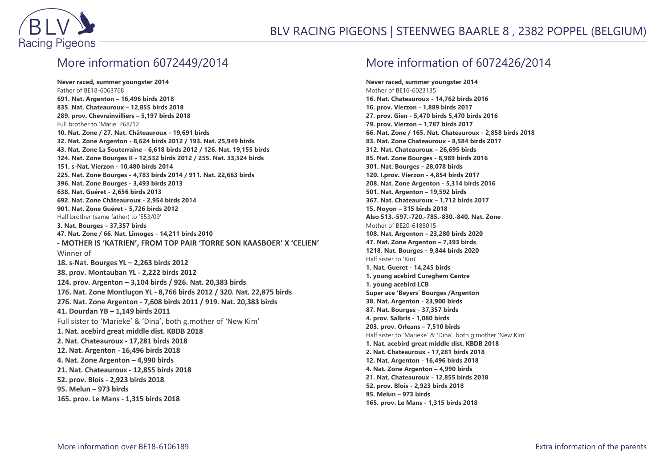

#### More information 6072449/2014

**Never raced, summer youngster 2014** Father of BE18-6063768 **691. Nat. Argenton – 16,496 birds 2018 835. Nat. Chateauroux – 12,855 birds 2018 289. prov. Chevrainvilliers – 5,197 birds 2018** Full brother to 'Marie' 268/12 **10. Nat. Zone / 27. Nat. Châteauroux - 19,691 birds 32. Nat. Zone Argenton - 8,624 birds 2012 / 193. Nat. 25,949 birds 43. Nat. Zone La Souterraine - 6,618 birds 2012 / 126. Nat. 19,155 birds 124. Nat. Zone Bourges II - 12,532 birds 2012 / 255. Nat. 33,524 birds 151. s-Nat. Vierzon - 10,480 birds 2014 225. Nat. Zone Bourges - 4,783 birds 2014 / 911. Nat. 22,663 birds 396. Nat. Zone Bourges - 3,493 birds 2013 638. Nat. Guéret - 2,656 birds 2013 692. Nat. Zone Châteauroux - 2,954 birds 2014 901. Nat. Zone Guéret - 5,726 birds 2012** Half brother (same father) to '553/09' **3. Nat. Bourges – 37,357 birds 47. Nat. Zone / 66. Nat. Limoges - 14,211 birds 2010 - MOTHER IS 'KATRIEN', FROM TOP PAIR 'TORRE SON KAASBOER' X 'CELIEN'** Winner of **18. s-Nat. Bourges YL – 2,263 birds 2012 38. prov. Montauban YL - 2,222 birds 2012 124. prov. Argenton – 3,104 birds / 926. Nat. 20,383 birds 176. Nat. Zone Montluçon YL - 8,766 birds 2012 / 320. Nat. 22,875 birds 276. Nat. Zone Argenton - 7,608 birds 2011 / 919. Nat. 20,383 birds 41. Dourdan YB – 1,149 birds 2011** Full sister to 'Marieke' & 'Dina', both g.mother of 'New Kim' **1. Nat. acebird great middle dist. KBDB 2018 2. Nat. Chateauroux - 17,281 birds 2018 12. Nat. Argenton - 16,496 birds 2018 4. Nat. Zone Argenton – 4,990 birds 21. Nat. Chateauroux - 12,855 birds 2018 52. prov. Blois - 2,923 birds 2018 95. Melun – 973 birds 165. prov. Le Mans - 1,315 birds 2018**

### More information of 6072426/2014

**Never raced, summer youngster 2014** Mother of BE16-6023135 **16. Nat. Chateauroux - 14,762 birds 2016 16. prov. Vierzon - 1,889 birds 2017 27. prov. Gien - 5,470 birds 5,470 birds 2016 79. prov. Vierzon – 1,787 birds 2017 66. Nat. Zone / 165. Nat. Chateauroux - 2,858 birds 2018 83. Nat. Zone Chateauroux - 8,584 birds 2017 312. Nat. Chateauroux – 26,695 birds 85. Nat. Zone Bourges - 8,989 birds 2016 301. Nat. Bourges – 28,078 birds 120. I.prov. Vierzon - 4,854 birds 2017 208. Nat. Zone Argenton - 5,314 birds 2016 501. Nat. Argenton – 19,592 birds 367. Nat. Chateauroux – 1,712 birds 2017 15. Noyon – 315 birds 2018 Also 513.-597.-720.-785.-830.-840. Nat. Zone** Mother of BE20-6188015 **108. Nat. Argenton – 23,280 birds 2020 47. Nat. Zone Argenton – 7,393 birds 1218. Nat. Bourges – 9,844 birds 2020** Half sister to 'Kim' **1. Nat. Gueret - 14,245 birds 1. young acebird Cureghem Centre 1. young acebird LCB Super ace 'Beyers' Bourges /Argenton 38. Nat. Argenton - 23,900 birds 87. Nat. Bourges - 37,357 birds 4. prov. Salbris - 1,080 birds 203. prov. Orleans – 7,510 birds** Half sister to 'Marieke' & 'Dina', both g.mother 'New Kim' **1. Nat. acebird great middle dist. KBDB 2018 2. Nat. Chateauroux - 17,281 birds 2018 12. Nat. Argenton - 16,496 birds 2018 4. Nat. Zone Argenton – 4,990 birds 21. Nat. Chateauroux - 12,855 birds 2018 52. prov. Blois - 2,923 birds 2018 95. Melun – 973 birds 165. prov. Le Mans - 1,315 birds 2018**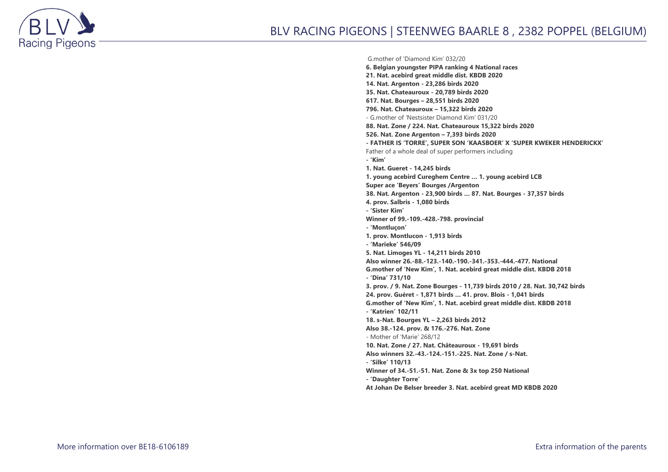

#### G.mother of 'Diamond Kim' 032/20

**6. Belgian youngster PIPA ranking 4 National races 21. Nat. acebird great middle dist. KBDB 2020 14. Nat. Argenton - 23,286 birds 2020 35. Nat. Chateauroux - 20,789 birds 2020 617. Nat. Bourges – 28,551 birds 2020 796. Nat. Chateauroux – 15,322 birds 2020** - G.mother of 'Nestsister Diamond Kim' 031/20 **88. Nat. Zone / 224. Nat. Chateauroux 15,322 birds 2020 526. Nat. Zone Argenton – 7,393 birds 2020 - FATHER IS 'TORRE', SUPER SON 'KAASBOER' X 'SUPER KWEKER HENDERICKX'** Father of a whole deal of super performers including **- 'Kim' 1. Nat. Gueret - 14,245 birds 1. young acebird Cureghem Centre … 1. young acebird LCB Super ace 'Beyers' Bourges /Argenton 38. Nat. Argenton - 23,900 birds … 87. Nat. Bourges - 37,357 birds 4. prov. Salbris - 1,080 birds - 'Sister Kim' Winner of 99.-109.-428.-798. provincial - 'Montluçon' 1. prov. Montlucon - 1,913 birds - 'Marieke' 546/09 5. Nat. Limoges YL - 14,211 birds 2010 Also winner 26.-88.-123.-140.-190.-341.-353.-444.-477. National G.mother of 'New Kim', 1. Nat. acebird great middle dist. KBDB 2018 - 'Dina' 731/10 3. prov. / 9. Nat. Zone Bourges - 11,739 birds 2010 / 28. Nat. 30,742 birds 24. prov. Guéret - 1,871 birds … 41. prov. Blois - 1,041 birds G.mother of 'New Kim', 1. Nat. acebird great middle dist. KBDB 2018 - 'Katrien' 102/11 18. s-Nat. Bourges YL – 2,263 birds 2012 Also 38.-124. prov. & 176.-276. Nat. Zone** - Mother of 'Marie' 268/12 **10. Nat. Zone / 27. Nat. Châteauroux - 19,691 birds Also winners 32.-43.-124.-151.-225. Nat. Zone / s-Nat. - 'Silke' 110/13 Winner of 34.-51.-51. Nat. Zone & 3x top 250 National - 'Daughter Torre' At Johan De Belser breeder 3. Nat. acebird great MD KBDB 2020**